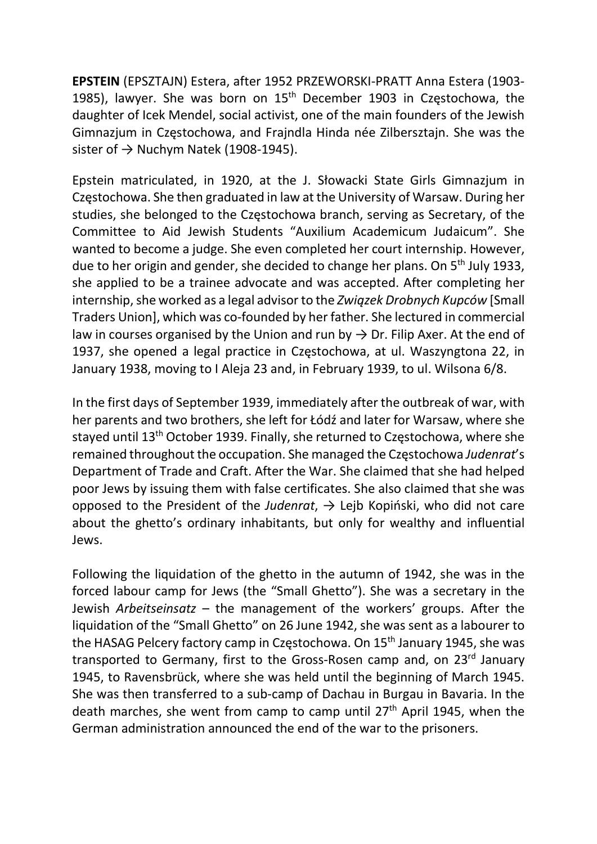EPSTEIN (EPSZTAJN) Estera, after 1952 PRZEWORSKI-PRATT Anna Estera (1903- 1985), lawyer. She was born on 15<sup>th</sup> December 1903 in Częstochowa, the daughter of Icek Mendel, social activist, one of the main founders of the Jewish Gimnazjum in Częstochowa, and Frajndla Hinda née Zilbersztajn. She was the sister of  $\rightarrow$  Nuchym Natek (1908-1945).

Epstein matriculated, in 1920, at the J. Słowacki State Girls Gimnazjum in Częstochowa. She then graduated in law at the University of Warsaw. During her studies, she belonged to the Częstochowa branch, serving as Secretary, of the Committee to Aid Jewish Students "Auxilium Academicum Judaicum". She wanted to become a judge. She even completed her court internship. However, due to her origin and gender, she decided to change her plans. On 5<sup>th</sup> July 1933, she applied to be a trainee advocate and was accepted. After completing her internship, she worked as a legal advisor to the Związek Drobnych Kupców [Small Traders Union], which was co-founded by her father. She lectured in commercial law in courses organised by the Union and run by  $\rightarrow$  Dr. Filip Axer. At the end of 1937, she opened a legal practice in Częstochowa, at ul. Waszyngtona 22, in January 1938, moving to I Aleja 23 and, in February 1939, to ul. Wilsona 6/8.

In the first days of September 1939, immediately after the outbreak of war, with her parents and two brothers, she left for Łódź and later for Warsaw, where she stayed until 13th October 1939. Finally, she returned to Częstochowa, where she remained throughout the occupation. She managed the Częstochowa Judenrat's Department of Trade and Craft. After the War. She claimed that she had helped poor Jews by issuing them with false certificates. She also claimed that she was opposed to the President of the Judenrat,  $\rightarrow$  Lejb Kopiński, who did not care about the ghetto's ordinary inhabitants, but only for wealthy and influential Jews.

Following the liquidation of the ghetto in the autumn of 1942, she was in the forced labour camp for Jews (the "Small Ghetto"). She was a secretary in the Jewish Arbeitseinsatz – the management of the workers' groups. After the liquidation of the "Small Ghetto" on 26 June 1942, she was sent as a labourer to the HASAG Pelcery factory camp in Częstochowa. On 15<sup>th</sup> January 1945, she was transported to Germany, first to the Gross-Rosen camp and, on 23<sup>rd</sup> January 1945, to Ravensbrück, where she was held until the beginning of March 1945. She was then transferred to a sub-camp of Dachau in Burgau in Bavaria. In the death marches, she went from camp to camp until  $27<sup>th</sup>$  April 1945, when the German administration announced the end of the war to the prisoners.